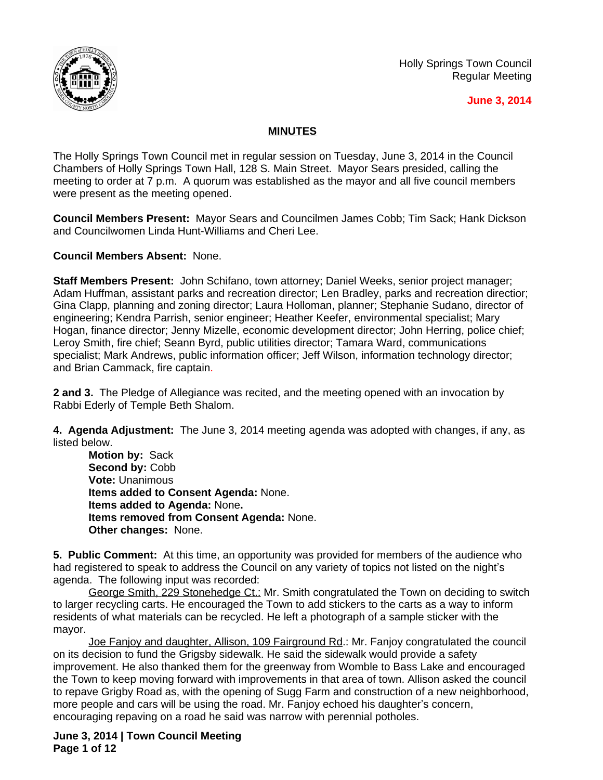

Holly Springs Town Council Regular Meeting

#### **June 3, 2014**

### **MINUTES**

The Holly Springs Town Council met in regular session on Tuesday, June 3, 2014 in the Council Chambers of Holly Springs Town Hall, 128 S. Main Street. Mayor Sears presided, calling the meeting to order at 7 p.m. A quorum was established as the mayor and all five council members were present as the meeting opened.

**Council Members Present:** Mayor Sears and Councilmen James Cobb; Tim Sack; Hank Dickson and Councilwomen Linda Hunt-Williams and Cheri Lee.

**Council Members Absent:** None.

**Staff Members Present:** John Schifano, town attorney; Daniel Weeks, senior project manager; Adam Huffman, assistant parks and recreation director; Len Bradley, parks and recreation directior; Gina Clapp, planning and zoning director; Laura Holloman, planner; Stephanie Sudano, director of engineering; Kendra Parrish, senior engineer; Heather Keefer, environmental specialist; Mary Hogan, finance director; Jenny Mizelle, economic development director; John Herring, police chief; Leroy Smith, fire chief; Seann Byrd, public utilities director; Tamara Ward, communications specialist; Mark Andrews, public information officer; Jeff Wilson, information technology director; and Brian Cammack, fire captain.

**2 and 3.** The Pledge of Allegiance was recited, and the meeting opened with an invocation by Rabbi Ederly of Temple Beth Shalom.

**4. Agenda Adjustment:** The June 3, 2014 meeting agenda was adopted with changes, if any, as listed below.

**Motion by:** Sack Second by: Cobb **Vote:** Unanimous **Items added to Consent Agenda:** None. **Items added to Agenda:** None**. Items removed from Consent Agenda:** None. **Other changes:** None.

**5. Public Comment:** At this time, an opportunity was provided for members of the audience who had registered to speak to address the Council on any variety of topics not listed on the night's agenda. The following input was recorded:

George Smith, 229 Stonehedge Ct.: Mr. Smith congratulated the Town on deciding to switch to larger recycling carts. He encouraged the Town to add stickers to the carts as a way to inform residents of what materials can be recycled. He left a photograph of a sample sticker with the mayor.

Joe Fanjoy and daughter, Allison, 109 Fairground Rd.: Mr. Fanjoy congratulated the council on its decision to fund the Grigsby sidewalk. He said the sidewalk would provide a safety improvement. He also thanked them for the greenway from Womble to Bass Lake and encouraged the Town to keep moving forward with improvements in that area of town. Allison asked the council to repave Grigby Road as, with the opening of Sugg Farm and construction of a new neighborhood, more people and cars will be using the road. Mr. Fanjoy echoed his daughter's concern, encouraging repaving on a road he said was narrow with perennial potholes.

**June 3, 2014 | Town Council Meeting Page 1 of 12**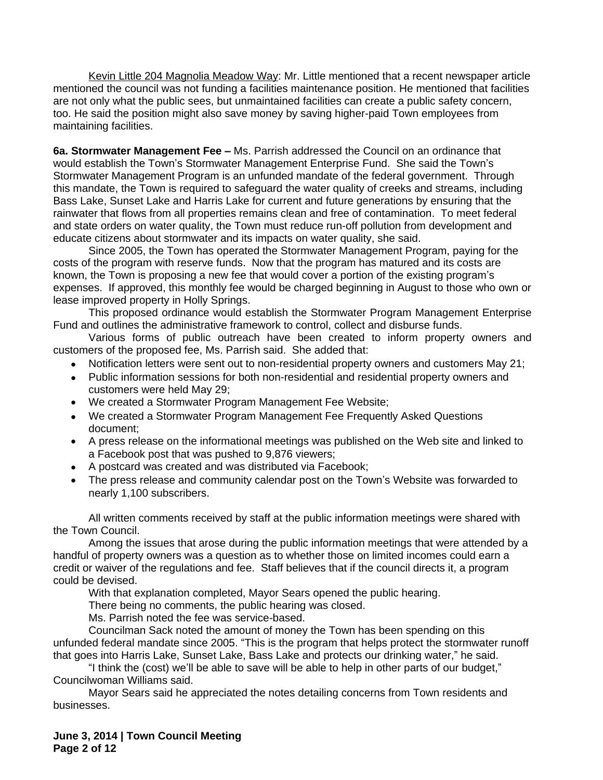Kevin Little 204 Magnolia Meadow Way: Mr. Little mentioned that a recent newspaper article mentioned the council was not funding a facilities maintenance position. He mentioned that facilities are not only what the public sees, but unmaintained facilities can create a public safety concern, too. He said the position might also save money by saving higher-paid Town employees from maintaining facilities.

**6a. Stormwater Management Fee –** Ms. Parrish addressed the Council on an ordinance that would establish the Town's Stormwater Management Enterprise Fund. She said the Town's Stormwater Management Program is an unfunded mandate of the federal government. Through this mandate, the Town is required to safeguard the water quality of creeks and streams, including Bass Lake, Sunset Lake and Harris Lake for current and future generations by ensuring that the rainwater that flows from all properties remains clean and free of contamination. To meet federal and state orders on water quality, the Town must reduce run-off pollution from development and educate citizens about stormwater and its impacts on water quality, she said.

Since 2005, the Town has operated the Stormwater Management Program, paying for the costs of the program with reserve funds. Now that the program has matured and its costs are known, the Town is proposing a new fee that would cover a portion of the existing program's expenses. If approved, this monthly fee would be charged beginning in August to those who own or lease improved property in Holly Springs.

This proposed ordinance would establish the Stormwater Program Management Enterprise Fund and outlines the administrative framework to control, collect and disburse funds.

Various forms of public outreach have been created to inform property owners and customers of the proposed fee, Ms. Parrish said. She added that:

- Notification letters were sent out to non-residential property owners and customers May 21;
- Public information sessions for both non-residential and residential property owners and customers were held May 29;
- We created a Stormwater Program Management Fee Website;
- We created a Stormwater Program Management Fee Frequently Asked Questions document;
- A press release on the informational meetings was published on the Web site and linked to a Facebook post that was pushed to 9,876 viewers;
- A postcard was created and was distributed via Facebook;
- The press release and community calendar post on the Town's Website was forwarded to nearly 1,100 subscribers.

All written comments received by staff at the public information meetings were shared with the Town Council.

Among the issues that arose during the public information meetings that were attended by a handful of property owners was a question as to whether those on limited incomes could earn a credit or waiver of the regulations and fee. Staff believes that if the council directs it, a program could be devised.

With that explanation completed, Mayor Sears opened the public hearing.

There being no comments, the public hearing was closed.

Ms. Parrish noted the fee was service-based.

Councilman Sack noted the amount of money the Town has been spending on this unfunded federal mandate since 2005. "This is the program that helps protect the stormwater runoff that goes into Harris Lake, Sunset Lake, Bass Lake and protects our drinking water," he said.

"I think the (cost) we'll be able to save will be able to help in other parts of our budget," Councilwoman Williams said.

Mayor Sears said he appreciated the notes detailing concerns from Town residents and businesses.

**June 3, 2014 | Town Council Meeting Page 2 of 12**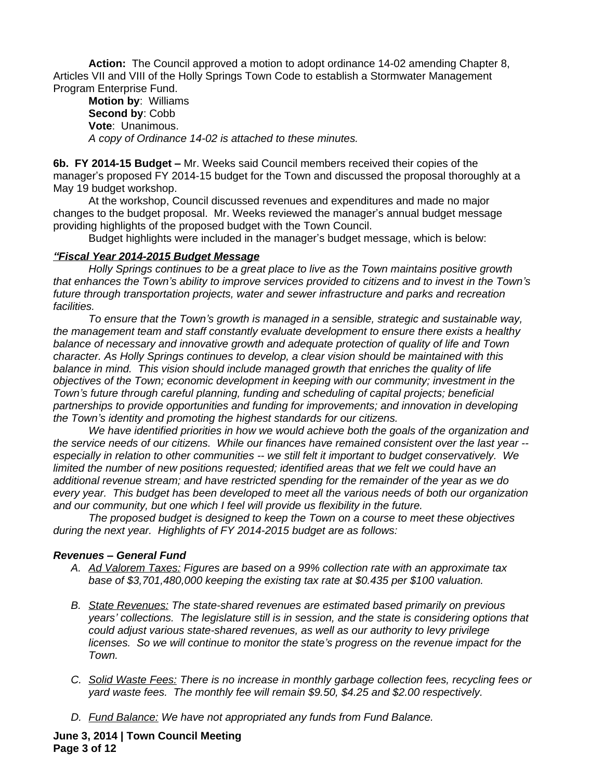**Action:** The Council approved a motion to adopt ordinance 14-02 amending Chapter 8, Articles VII and VIII of the Holly Springs Town Code to establish a Stormwater Management Program Enterprise Fund.

**Motion by**: Williams **Second by**: Cobb **Vote**: Unanimous. *A copy of Ordinance 14-02 is attached to these minutes.*

**6b. FY 2014-15 Budget –** Mr. Weeks said Council members received their copies of the manager's proposed FY 2014-15 budget for the Town and discussed the proposal thoroughly at a May 19 budget workshop.

At the workshop, Council discussed revenues and expenditures and made no major changes to the budget proposal. Mr. Weeks reviewed the manager's annual budget message providing highlights of the proposed budget with the Town Council.

Budget highlights were included in the manager's budget message, which is below:

### *"Fiscal Year 2014-2015 Budget Message*

*Holly Springs continues to be a great place to live as the Town maintains positive growth that enhances the Town's ability to improve services provided to citizens and to invest in the Town's future through transportation projects, water and sewer infrastructure and parks and recreation facilities.*

*To ensure that the Town's growth is managed in a sensible, strategic and sustainable way, the management team and staff constantly evaluate development to ensure there exists a healthy balance of necessary and innovative growth and adequate protection of quality of life and Town character. As Holly Springs continues to develop, a clear vision should be maintained with this balance in mind. This vision should include managed growth that enriches the quality of life objectives of the Town; economic development in keeping with our community; investment in the Town's future through careful planning, funding and scheduling of capital projects; beneficial partnerships to provide opportunities and funding for improvements; and innovation in developing the Town's identity and promoting the highest standards for our citizens.*

*We have identified priorities in how we would achieve both the goals of the organization and the service needs of our citizens. While our finances have remained consistent over the last year - especially in relation to other communities -- we still felt it important to budget conservatively. We limited the number of new positions requested; identified areas that we felt we could have an additional revenue stream; and have restricted spending for the remainder of the year as we do every year. This budget has been developed to meet all the various needs of both our organization and our community, but one which I feel will provide us flexibility in the future.*

*The proposed budget is designed to keep the Town on a course to meet these objectives during the next year. Highlights of FY 2014-2015 budget are as follows:*

### *Revenues – General Fund*

- *A. Ad Valorem Taxes: Figures are based on a 99% collection rate with an approximate tax base of \$3,701,480,000 keeping the existing tax rate at \$0.435 per \$100 valuation.*
- *B. State Revenues: The state-shared revenues are estimated based primarily on previous years' collections. The legislature still is in session, and the state is considering options that could adjust various state-shared revenues, as well as our authority to levy privilege licenses. So we will continue to monitor the state's progress on the revenue impact for the Town.*
- *C. Solid Waste Fees: There is no increase in monthly garbage collection fees, recycling fees or yard waste fees. The monthly fee will remain \$9.50, \$4.25 and \$2.00 respectively.*
- *D. Fund Balance: We have not appropriated any funds from Fund Balance.*

**June 3, 2014 | Town Council Meeting Page 3 of 12**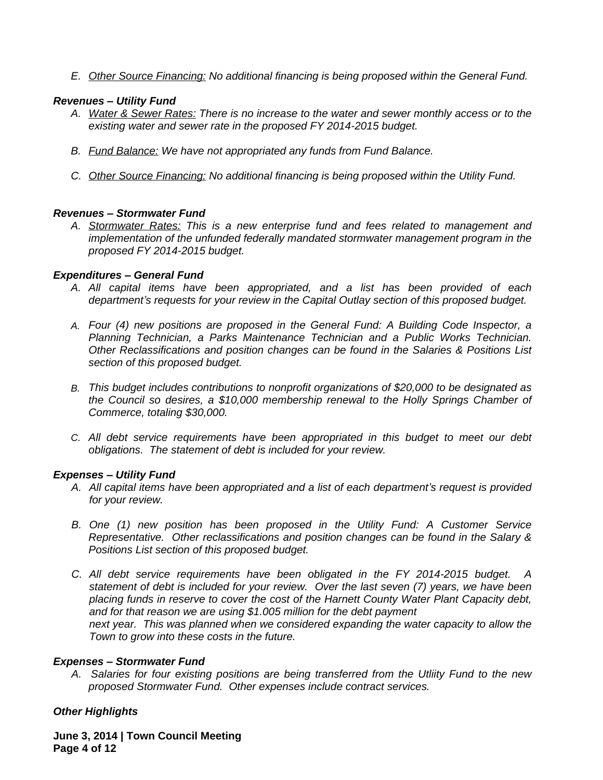*E. Other Source Financing: No additional financing is being proposed within the General Fund.*

### *Revenues – Utility Fund*

- *A. Water & Sewer Rates: There is no increase to the water and sewer monthly access or to the existing water and sewer rate in the proposed FY 2014-2015 budget.*
- *B. Fund Balance: We have not appropriated any funds from Fund Balance.*
- *C. Other Source Financing: No additional financing is being proposed within the Utility Fund.*

# *Revenues – Stormwater Fund*

*A. Stormwater Rates: This is a new enterprise fund and fees related to management and implementation of the unfunded federally mandated stormwater management program in the proposed FY 2014-2015 budget.* 

# *Expenditures – General Fund*

- *A. All capital items have been appropriated, and a list has been provided of each department's requests for your review in the Capital Outlay section of this proposed budget.*
- *A. Four (4) new positions are proposed in the General Fund: A Building Code Inspector, a Planning Technician, a Parks Maintenance Technician and a Public Works Technician. Other Reclassifications and position changes can be found in the Salaries & Positions List section of this proposed budget.*
- *B. This budget includes contributions to nonprofit organizations of \$20,000 to be designated as the Council so desires, a \$10,000 membership renewal to the Holly Springs Chamber of Commerce, totaling \$30,000.*
- *C. All debt service requirements have been appropriated in this budget to meet our debt obligations. The statement of debt is included for your review.*

### *Expenses – Utility Fund*

- *A. All capital items have been appropriated and a list of each department's request is provided for your review.*
- *B. One (1) new position has been proposed in the Utility Fund: A Customer Service Representative. Other reclassifications and position changes can be found in the Salary & Positions List section of this proposed budget.*
- *C. All debt service requirements have been obligated in the FY 2014-2015 budget. A statement of debt is included for your review. Over the last seven (7) years, we have been placing funds in reserve to cover the cost of the Harnett County Water Plant Capacity debt, and for that reason we are using \$1.005 million for the debt payment next year. This was planned when we considered expanding the water capacity to allow the Town to grow into these costs in the future.*

# *Expenses – Stormwater Fund*

*A. Salaries for four existing positions are being transferred from the Utliity Fund to the new proposed Stormwater Fund. Other expenses include contract services.*

# *Other Highlights*

**June 3, 2014 | Town Council Meeting Page 4 of 12**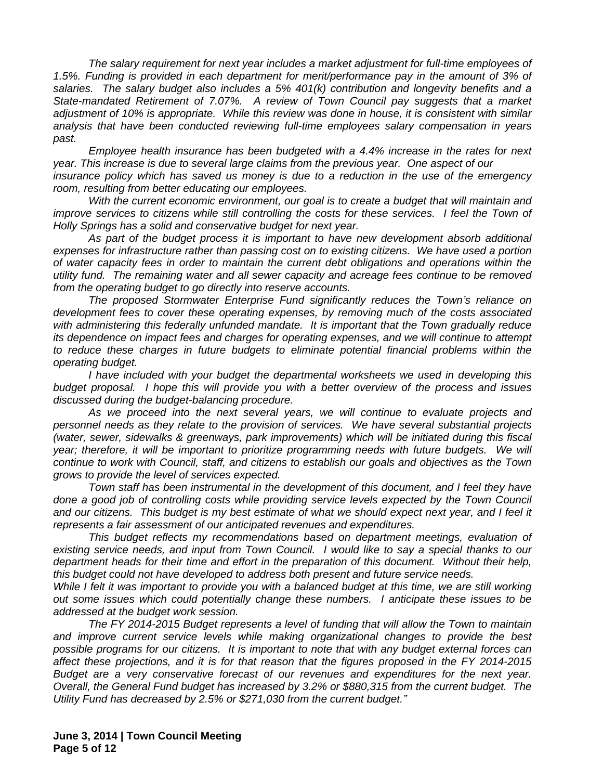*The salary requirement for next year includes a market adjustment for full-time employees of 1.5%. Funding is provided in each department for merit/performance pay in the amount of 3% of salaries. The salary budget also includes a 5% 401(k) contribution and longevity benefits and a State-mandated Retirement of 7.07%. A review of Town Council pay suggests that a market adjustment of 10% is appropriate. While this review was done in house, it is consistent with similar analysis that have been conducted reviewing full-time employees salary compensation in years past.* 

*Employee health insurance has been budgeted with a 4.4% increase in the rates for next year. This increase is due to several large claims from the previous year. One aspect of our insurance policy which has saved us money is due to a reduction in the use of the emergency room, resulting from better educating our employees.*

*With the current economic environment, our goal is to create a budget that will maintain and improve services to citizens while still controlling the costs for these services. I feel the Town of Holly Springs has a solid and conservative budget for next year.*

*As part of the budget process it is important to have new development absorb additional expenses for infrastructure rather than passing cost on to existing citizens. We have used a portion of water capacity fees in order to maintain the current debt obligations and operations within the utility fund. The remaining water and all sewer capacity and acreage fees continue to be removed from the operating budget to go directly into reserve accounts.* 

*The proposed Stormwater Enterprise Fund significantly reduces the Town's reliance on development fees to cover these operating expenses, by removing much of the costs associated with administering this federally unfunded mandate. It is important that the Town gradually reduce its dependence on impact fees and charges for operating expenses, and we will continue to attempt to reduce these charges in future budgets to eliminate potential financial problems within the operating budget.*

*I have included with your budget the departmental worksheets we used in developing this budget proposal. I hope this will provide you with a better overview of the process and issues discussed during the budget-balancing procedure.*

*As we proceed into the next several years, we will continue to evaluate projects and personnel needs as they relate to the provision of services. We have several substantial projects (water, sewer, sidewalks & greenways, park improvements) which will be initiated during this fiscal year; therefore, it will be important to prioritize programming needs with future budgets. We will continue to work with Council, staff, and citizens to establish our goals and objectives as the Town grows to provide the level of services expected.*

*Town staff has been instrumental in the development of this document, and I feel they have done a good job of controlling costs while providing service levels expected by the Town Council* and our citizens. This budget is my best estimate of what we should expect next year, and I feel it *represents a fair assessment of our anticipated revenues and expenditures.*

*This budget reflects my recommendations based on department meetings, evaluation of existing service needs, and input from Town Council. I would like to say a special thanks to our department heads for their time and effort in the preparation of this document. Without their help, this budget could not have developed to address both present and future service needs.*

While I felt it was important to provide you with a balanced budget at this time, we are still working *out some issues which could potentially change these numbers. I anticipate these issues to be addressed at the budget work session.* 

*The FY 2014-2015 Budget represents a level of funding that will allow the Town to maintain and improve current service levels while making organizational changes to provide the best possible programs for our citizens. It is important to note that with any budget external forces can affect these projections, and it is for that reason that the figures proposed in the FY 2014-2015 Budget are a very conservative forecast of our revenues and expenditures for the next year. Overall, the General Fund budget has increased by 3.2% or \$880,315 from the current budget. The Utility Fund has decreased by 2.5% or \$271,030 from the current budget."*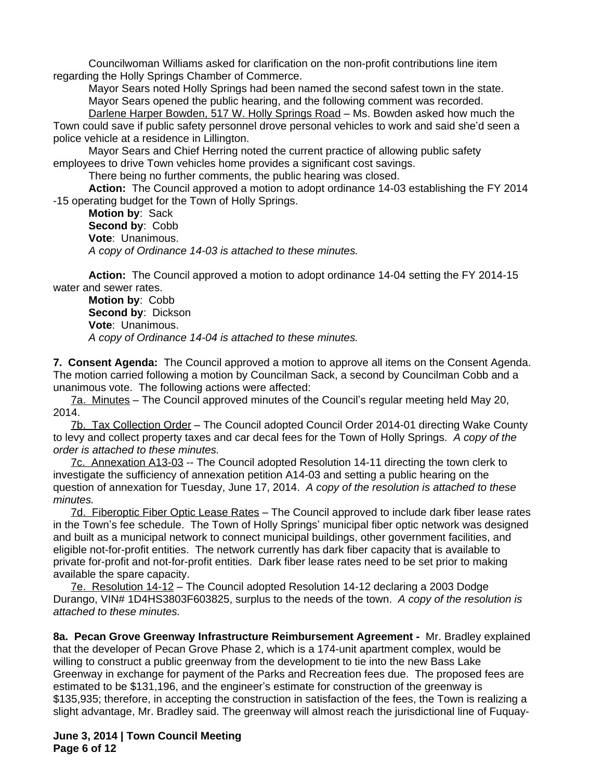Councilwoman Williams asked for clarification on the non-profit contributions line item regarding the Holly Springs Chamber of Commerce.

Mayor Sears noted Holly Springs had been named the second safest town in the state. Mayor Sears opened the public hearing, and the following comment was recorded.

Darlene Harper Bowden, 517 W. Holly Springs Road - Ms. Bowden asked how much the Town could save if public safety personnel drove personal vehicles to work and said she'd seen a police vehicle at a residence in Lillington.

Mayor Sears and Chief Herring noted the current practice of allowing public safety employees to drive Town vehicles home provides a significant cost savings.

There being no further comments, the public hearing was closed.

**Action:** The Council approved a motion to adopt ordinance 14-03 establishing the FY 2014 -15 operating budget for the Town of Holly Springs.

**Motion by**: Sack **Second by**: Cobb **Vote**: Unanimous. *A copy of Ordinance 14-03 is attached to these minutes.*

**Action:** The Council approved a motion to adopt ordinance 14-04 setting the FY 2014-15 water and sewer rates.

**Motion by**: Cobb **Second by**: Dickson **Vote**: Unanimous. *A copy of Ordinance 14-04 is attached to these minutes.*

**7. Consent Agenda:** The Council approved a motion to approve all items on the Consent Agenda. The motion carried following a motion by Councilman Sack, a second by Councilman Cobb and a unanimous vote. The following actions were affected:

7a. Minutes – The Council approved minutes of the Council's regular meeting held May 20, 2014.

7b. Tax Collection Order – The Council adopted Council Order 2014-01 directing Wake County to levy and collect property taxes and car decal fees for the Town of Holly Springs. *A copy of the order is attached to these minutes.*

7c. Annexation A13-03 -- The Council adopted Resolution 14-11 directing the town clerk to investigate the sufficiency of annexation petition A14-03 and setting a public hearing on the question of annexation for Tuesday, June 17, 2014. *A copy of the resolution is attached to these minutes.*

7d. Fiberoptic Fiber Optic Lease Rates – The Council approved to include dark fiber lease rates in the Town's fee schedule. The Town of Holly Springs' municipal fiber optic network was designed and built as a municipal network to connect municipal buildings, other government facilities, and eligible not-for-profit entities. The network currently has dark fiber capacity that is available to private for-profit and not-for-profit entities. Dark fiber lease rates need to be set prior to making available the spare capacity.

7e. Resolution 14-12 – The Council adopted Resolution 14-12 declaring a 2003 Dodge Durango, VIN# 1D4HS3803F603825, surplus to the needs of the town. *A copy of the resolution is attached to these minutes.*

**8a. Pecan Grove Greenway Infrastructure Reimbursement Agreement -** Mr. Bradley explained that the developer of Pecan Grove Phase 2, which is a 174-unit apartment complex, would be willing to construct a public greenway from the development to tie into the new Bass Lake Greenway in exchange for payment of the Parks and Recreation fees due. The proposed fees are estimated to be \$131,196, and the engineer's estimate for construction of the greenway is \$135,935; therefore, in accepting the construction in satisfaction of the fees, the Town is realizing a slight advantage, Mr. Bradley said. The greenway will almost reach the jurisdictional line of Fuquay-

**June 3, 2014 | Town Council Meeting Page 6 of 12**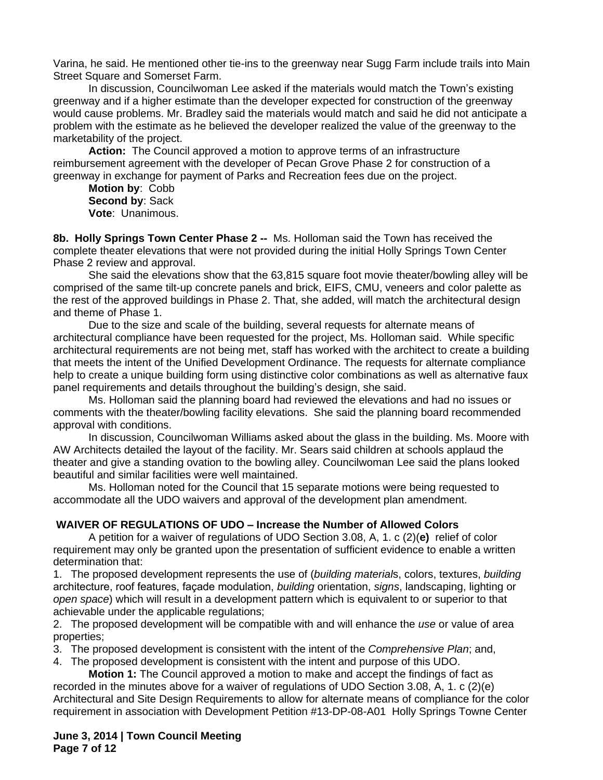Varina, he said. He mentioned other tie-ins to the greenway near Sugg Farm include trails into Main Street Square and Somerset Farm.

In discussion, Councilwoman Lee asked if the materials would match the Town's existing greenway and if a higher estimate than the developer expected for construction of the greenway would cause problems. Mr. Bradley said the materials would match and said he did not anticipate a problem with the estimate as he believed the developer realized the value of the greenway to the marketability of the project.

**Action:** The Council approved a motion to approve terms of an infrastructure reimbursement agreement with the developer of Pecan Grove Phase 2 for construction of a greenway in exchange for payment of Parks and Recreation fees due on the project.

**Motion by**: Cobb **Second by**: Sack **Vote**: Unanimous.

**8b. Holly Springs Town Center Phase 2 --** Ms. Holloman said the Town has received the complete theater elevations that were not provided during the initial Holly Springs Town Center Phase 2 review and approval.

She said the elevations show that the 63,815 square foot movie theater/bowling alley will be comprised of the same tilt-up concrete panels and brick, EIFS, CMU, veneers and color palette as the rest of the approved buildings in Phase 2. That, she added, will match the architectural design and theme of Phase 1.

Due to the size and scale of the building, several requests for alternate means of architectural compliance have been requested for the project, Ms. Holloman said. While specific architectural requirements are not being met, staff has worked with the architect to create a building that meets the intent of the Unified Development Ordinance. The requests for alternate compliance help to create a unique building form using distinctive color combinations as well as alternative faux panel requirements and details throughout the building's design, she said.

Ms. Holloman said the planning board had reviewed the elevations and had no issues or comments with the theater/bowling facility elevations. She said the planning board recommended approval with conditions.

In discussion, Councilwoman Williams asked about the glass in the building. Ms. Moore with AW Architects detailed the layout of the facility. Mr. Sears said children at schools applaud the theater and give a standing ovation to the bowling alley. Councilwoman Lee said the plans looked beautiful and similar facilities were well maintained.

Ms. Holloman noted for the Council that 15 separate motions were being requested to accommodate all the UDO waivers and approval of the development plan amendment.

#### **WAIVER OF REGULATIONS OF UDO – Increase the Number of Allowed Colors**

A petition for a waiver of regulations of UDO Section 3.08, A, 1. c (2)(**e)** relief of color requirement may only be granted upon the presentation of sufficient evidence to enable a written determination that:

1. The proposed development represents the use of (*building material*s, colors, textures, *building* architecture, roof features, façade modulation, *building* orientation, *signs*, landscaping, lighting or *open space*) which will result in a development pattern which is equivalent to or superior to that achievable under the applicable regulations;

2. The proposed development will be compatible with and will enhance the *use* or value of area properties;

3. The proposed development is consistent with the intent of the *Comprehensive Plan*; and,

4. The proposed development is consistent with the intent and purpose of this UDO.

**Motion 1:** The Council approved a motion to make and accept the findings of fact as recorded in the minutes above for a waiver of regulations of UDO Section 3.08, A, 1. c (2)(e) Architectural and Site Design Requirements to allow for alternate means of compliance for the color requirement in association with Development Petition #13-DP-08-A01 Holly Springs Towne Center

**June 3, 2014 | Town Council Meeting Page 7 of 12**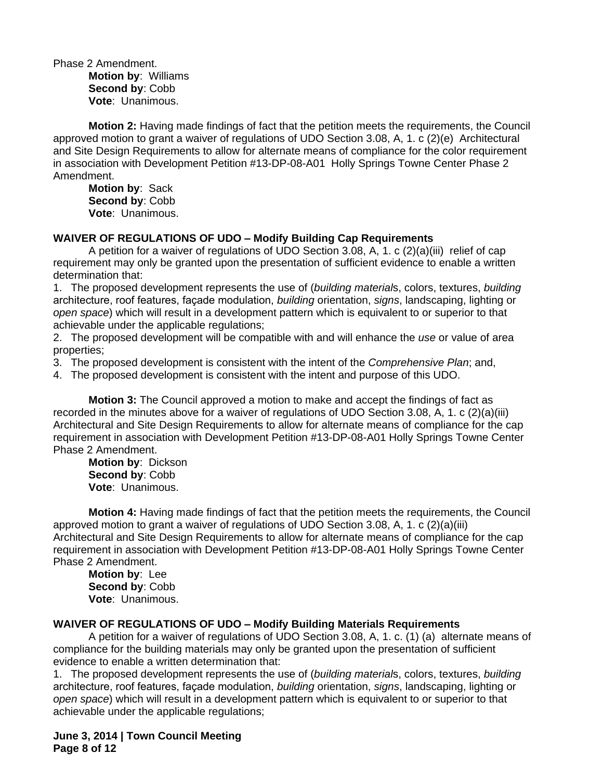Phase 2 Amendment. **Motion by**: Williams **Second by**: Cobb **Vote**: Unanimous.

**Motion 2:** Having made findings of fact that the petition meets the requirements, the Council approved motion to grant a waiver of regulations of UDO Section 3.08, A, 1. c (2)(e) Architectural and Site Design Requirements to allow for alternate means of compliance for the color requirement in association with Development Petition #13-DP-08-A01 Holly Springs Towne Center Phase 2 Amendment.

**Motion by**: Sack **Second by**: Cobb **Vote**: Unanimous.

### **WAIVER OF REGULATIONS OF UDO – Modify Building Cap Requirements**

A petition for a waiver of regulations of UDO Section 3.08, A, 1. c (2)(a)(iii) relief of cap requirement may only be granted upon the presentation of sufficient evidence to enable a written determination that:

1. The proposed development represents the use of (*building material*s, colors, textures, *building* architecture, roof features, façade modulation, *building* orientation, *signs*, landscaping, lighting or *open space*) which will result in a development pattern which is equivalent to or superior to that achievable under the applicable regulations;

2. The proposed development will be compatible with and will enhance the *use* or value of area properties;

3. The proposed development is consistent with the intent of the *Comprehensive Plan*; and,

4. The proposed development is consistent with the intent and purpose of this UDO.

**Motion 3:** The Council approved a motion to make and accept the findings of fact as recorded in the minutes above for a waiver of regulations of UDO Section 3.08, A, 1. c (2)(a)(iii) Architectural and Site Design Requirements to allow for alternate means of compliance for the cap requirement in association with Development Petition #13-DP-08-A01 Holly Springs Towne Center Phase 2 Amendment.

**Motion by**: Dickson **Second by**: Cobb **Vote**: Unanimous.

**Motion 4:** Having made findings of fact that the petition meets the requirements, the Council approved motion to grant a waiver of regulations of UDO Section 3.08, A, 1. c (2)(a)(iii) Architectural and Site Design Requirements to allow for alternate means of compliance for the cap requirement in association with Development Petition #13-DP-08-A01 Holly Springs Towne Center Phase 2 Amendment.

**Motion by**: Lee **Second by**: Cobb **Vote**: Unanimous.

### **WAIVER OF REGULATIONS OF UDO – Modify Building Materials Requirements**

A petition for a waiver of regulations of UDO Section 3.08, A, 1. c. (1) (a)alternate means of compliance for the building materials may only be granted upon the presentation of sufficient evidence to enable a written determination that:

1. The proposed development represents the use of (*building material*s, colors, textures, *building* architecture, roof features, façade modulation, *building* orientation, *signs*, landscaping, lighting or *open space*) which will result in a development pattern which is equivalent to or superior to that achievable under the applicable regulations;

**June 3, 2014 | Town Council Meeting Page 8 of 12**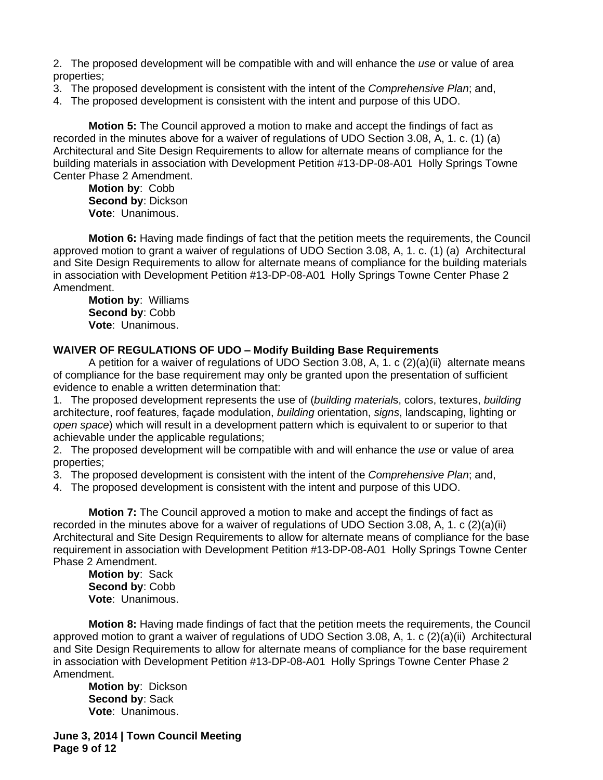2. The proposed development will be compatible with and will enhance the *use* or value of area properties;

- 3. The proposed development is consistent with the intent of the *Comprehensive Plan*; and,
- 4. The proposed development is consistent with the intent and purpose of this UDO.

**Motion 5:** The Council approved a motion to make and accept the findings of fact as recorded in the minutes above for a waiver of regulations of UDO Section 3.08, A, 1. c. (1) (a) Architectural and Site Design Requirements to allow for alternate means of compliance for the building materials in association with Development Petition #13-DP-08-A01 Holly Springs Towne Center Phase 2 Amendment.

**Motion by**: Cobb **Second by**: Dickson **Vote**: Unanimous.

**Motion 6:** Having made findings of fact that the petition meets the requirements, the Council approved motion to grant a waiver of regulations of UDO Section 3.08, A, 1. c. (1) (a)Architectural and Site Design Requirements to allow for alternate means of compliance for the building materials in association with Development Petition #13-DP-08-A01 Holly Springs Towne Center Phase 2 Amendment.

**Motion by**: Williams **Second by**: Cobb **Vote**: Unanimous.

#### **WAIVER OF REGULATIONS OF UDO – Modify Building Base Requirements**

A petition for a waiver of regulations of UDO Section 3.08, A, 1. c (2)(a)(ii) alternate means of compliance for the base requirement may only be granted upon the presentation of sufficient evidence to enable a written determination that:

1. The proposed development represents the use of (*building material*s, colors, textures, *building* architecture, roof features, façade modulation, *building* orientation, *signs*, landscaping, lighting or *open space*) which will result in a development pattern which is equivalent to or superior to that achievable under the applicable regulations;

2. The proposed development will be compatible with and will enhance the *use* or value of area properties;

3. The proposed development is consistent with the intent of the *Comprehensive Plan*; and,

4. The proposed development is consistent with the intent and purpose of this UDO.

**Motion 7:** The Council approved a motion to make and accept the findings of fact as recorded in the minutes above for a waiver of regulations of UDO Section 3.08, A, 1. c (2)(a)(ii) Architectural and Site Design Requirements to allow for alternate means of compliance for the base requirement in association with Development Petition #13-DP-08-A01 Holly Springs Towne Center Phase 2 Amendment.

**Motion by**: Sack **Second by**: Cobb **Vote**: Unanimous.

**Motion 8:** Having made findings of fact that the petition meets the requirements, the Council approved motion to grant a waiver of regulations of UDO Section 3.08, A, 1. c (2)(a)(ii) Architectural and Site Design Requirements to allow for alternate means of compliance for the base requirement in association with Development Petition #13-DP-08-A01 Holly Springs Towne Center Phase 2 Amendment.

**Motion by**: Dickson **Second by**: Sack **Vote**: Unanimous.

**June 3, 2014 | Town Council Meeting Page 9 of 12**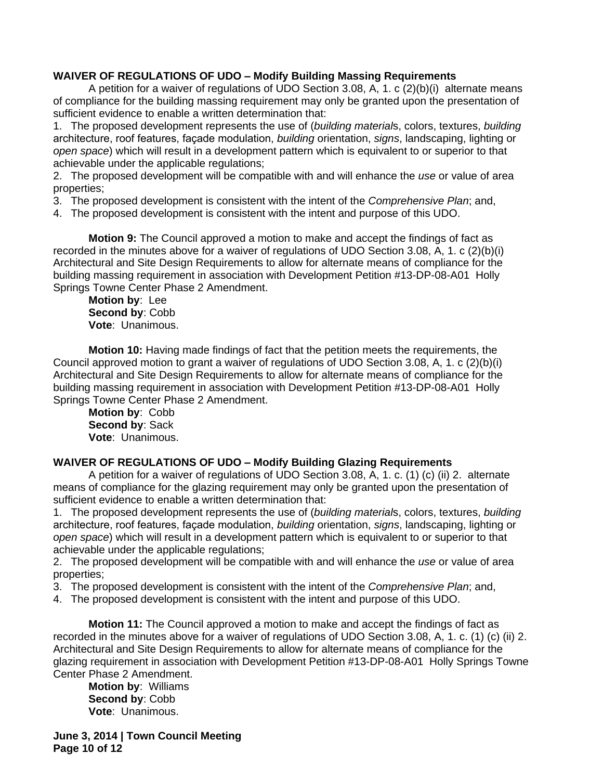# **WAIVER OF REGULATIONS OF UDO – Modify Building Massing Requirements**

A petition for a waiver of regulations of UDO Section 3.08, A, 1. c (2)(b)(i)alternate means of compliance for the building massing requirement may only be granted upon the presentation of sufficient evidence to enable a written determination that:

1. The proposed development represents the use of (*building material*s, colors, textures, *building* architecture, roof features, façade modulation, *building* orientation, *signs*, landscaping, lighting or *open space*) which will result in a development pattern which is equivalent to or superior to that achievable under the applicable regulations;

2. The proposed development will be compatible with and will enhance the *use* or value of area properties;

- 3. The proposed development is consistent with the intent of the *Comprehensive Plan*; and,
- 4. The proposed development is consistent with the intent and purpose of this UDO.

**Motion 9:** The Council approved a motion to make and accept the findings of fact as recorded in the minutes above for a waiver of regulations of UDO Section 3.08, A, 1. c (2)(b)(i) Architectural and Site Design Requirements to allow for alternate means of compliance for the building massing requirement in association with Development Petition #13-DP-08-A01 Holly Springs Towne Center Phase 2 Amendment.

**Motion by**: Lee **Second by**: Cobb **Vote**: Unanimous.

**Motion 10:** Having made findings of fact that the petition meets the requirements, the Council approved motion to grant a waiver of regulations of UDO Section 3.08, A, 1. c (2)(b)(i) Architectural and Site Design Requirements to allow for alternate means of compliance for the building massing requirement in association with Development Petition #13-DP-08-A01 Holly Springs Towne Center Phase 2 Amendment.

**Motion by**: Cobb **Second by**: Sack **Vote**: Unanimous.

# **WAIVER OF REGULATIONS OF UDO – Modify Building Glazing Requirements**

A petition for a waiver of regulations of UDO Section 3.08, A, 1. c. (1) (c) (ii) 2.alternate means of compliance for the glazing requirement may only be granted upon the presentation of sufficient evidence to enable a written determination that:

1. The proposed development represents the use of (*building material*s, colors, textures, *building* architecture, roof features, façade modulation, *building* orientation, *signs*, landscaping, lighting or *open space*) which will result in a development pattern which is equivalent to or superior to that achievable under the applicable regulations;

2. The proposed development will be compatible with and will enhance the *use* or value of area properties;

- 3. The proposed development is consistent with the intent of the *Comprehensive Plan*; and,
- 4. The proposed development is consistent with the intent and purpose of this UDO.

**Motion 11:** The Council approved a motion to make and accept the findings of fact as recorded in the minutes above for a waiver of regulations of UDO Section 3.08, A, 1. c. (1) (c) (ii) 2. Architectural and Site Design Requirements to allow for alternate means of compliance for the glazing requirement in association with Development Petition #13-DP-08-A01 Holly Springs Towne Center Phase 2 Amendment.

**Motion by**: Williams **Second by**: Cobb **Vote**: Unanimous.

**June 3, 2014 | Town Council Meeting Page 10 of 12**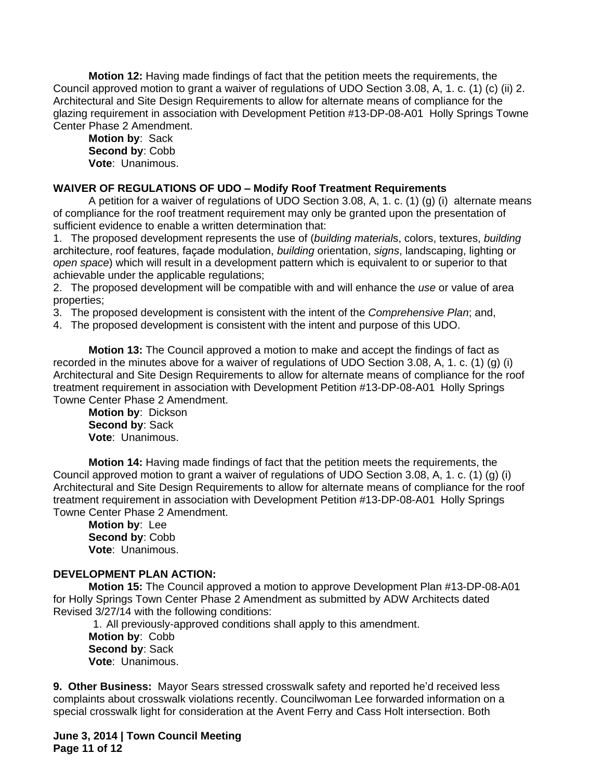**Motion 12:** Having made findings of fact that the petition meets the requirements, the Council approved motion to grant a waiver of regulations of UDO Section 3.08, A, 1. c. (1) (c) (ii) 2. Architectural and Site Design Requirements to allow for alternate means of compliance for the glazing requirement in association with Development Petition #13-DP-08-A01 Holly Springs Towne Center Phase 2 Amendment.

**Motion by**: Sack **Second by**: Cobb **Vote**: Unanimous.

### **WAIVER OF REGULATIONS OF UDO – Modify Roof Treatment Requirements**

A petition for a waiver of regulations of UDO Section 3.08, A, 1. c. (1) (g) (i)alternate means of compliance for the roof treatment requirement may only be granted upon the presentation of sufficient evidence to enable a written determination that:

1. The proposed development represents the use of (*building material*s, colors, textures, *building* architecture, roof features, façade modulation, *building* orientation, *signs*, landscaping, lighting or *open space*) which will result in a development pattern which is equivalent to or superior to that achievable under the applicable regulations;

2. The proposed development will be compatible with and will enhance the *use* or value of area properties;

3. The proposed development is consistent with the intent of the *Comprehensive Plan*; and,

4. The proposed development is consistent with the intent and purpose of this UDO.

**Motion 13:** The Council approved a motion to make and accept the findings of fact as recorded in the minutes above for a waiver of regulations of UDO Section 3.08, A, 1. c. (1) (g) (i) Architectural and Site Design Requirements to allow for alternate means of compliance for the roof treatment requirement in association with Development Petition #13-DP-08-A01 Holly Springs Towne Center Phase 2 Amendment.

**Motion by**: Dickson **Second by**: Sack **Vote**: Unanimous.

**Motion 14:** Having made findings of fact that the petition meets the requirements, the Council approved motion to grant a waiver of regulations of UDO Section 3.08, A, 1. c. (1) (g) (i) Architectural and Site Design Requirements to allow for alternate means of compliance for the roof treatment requirement in association with Development Petition #13-DP-08-A01 Holly Springs Towne Center Phase 2 Amendment.

**Motion by**: Lee **Second by**: Cobb **Vote**: Unanimous.

# **DEVELOPMENT PLAN ACTION:**

**Motion 15:** The Council approved a motion to approve Development Plan #13-DP-08-A01 for Holly Springs Town Center Phase 2 Amendment as submitted by ADW Architects dated Revised 3/27/14 with the following conditions:

1. All previously-approved conditions shall apply to this amendment. **Motion by**: Cobb **Second by**: Sack **Vote**: Unanimous.

**9. Other Business:** Mayor Sears stressed crosswalk safety and reported he'd received less complaints about crosswalk violations recently. Councilwoman Lee forwarded information on a special crosswalk light for consideration at the Avent Ferry and Cass Holt intersection. Both

**June 3, 2014 | Town Council Meeting Page 11 of 12**